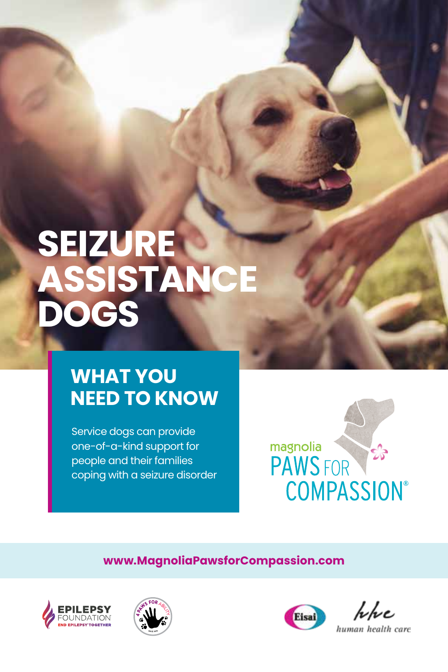## **SEIZURE ASSISTANCE DOGS**

#### **WHAT YOU NEED TO KNOW**

Service dogs can provide one-of-a-kind support for people and their families coping with a seizure disorder



**www.MagnoliaPawsforCompassion.com**







hhe human health care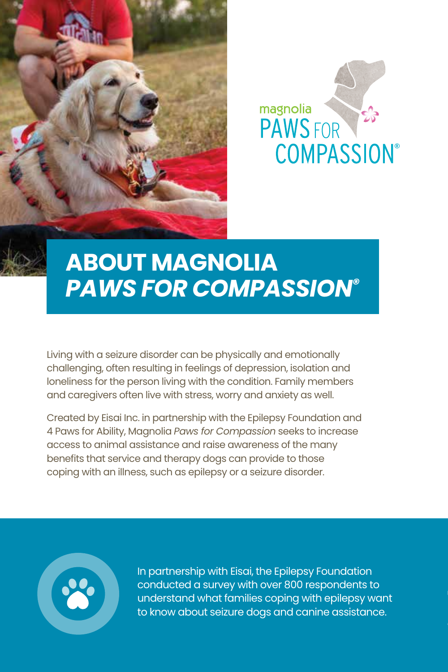





## **ABOUT MAGNOLIA** *PAWS FOR COMPASSION®*

Living with a seizure disorder can be physically and emotionally challenging, often resulting in feelings of depression, isolation and loneliness for the person living with the condition. Family members and caregivers often live with stress, worry and anxiety as well.

Created by Eisai Inc. in partnership with the Epilepsy Foundation and 4 Paws for Ability, Magnolia *Paws for Compassion* seeks to increase access to animal assistance and raise awareness of the many benefits that service and therapy dogs can provide to those coping with an illness, such as epilepsy or a seizure disorder.



In partnership with Eisai, the Epilepsy Foundation conducted a survey with over 800 respondents to understand what families coping with epilepsy want to know about seizure dogs and canine assistance.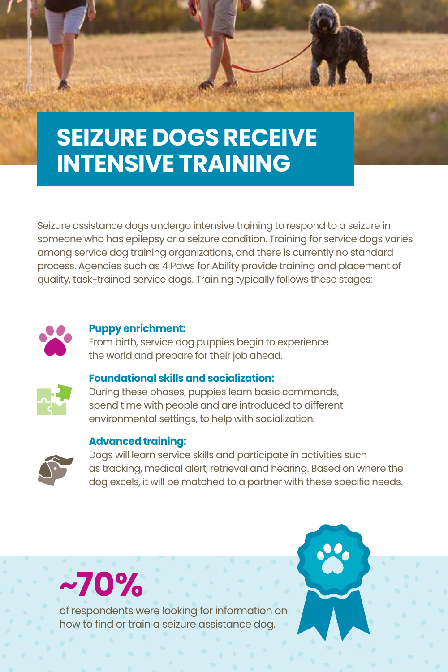## **SEIZURE DOGS RECEIVE INTENSIVE TRAINING**

Seizure assistance dogs undergo intensive training to respond to a seizure in someone who has epilepsy or a seizure condition. Training for service dogs varies among service dog training organizations, and there is currently no standard process. Agencies such as 4 Paws for Ability provide training and placement of quality, task-trained service dogs. Training typically follows these stages:



#### **Puppy enrichment:**

From birth, service dog puppies begin to experience the world and prepare for their job ahead.



#### **Foundational skills and socialization:**

During these phases, puppies learn basic commands, spend time with people and are introduced to different environmental settings, to help with socialization.

#### **Advanced training:**



Dogs will learn service skills and participate in activities such as tracking, medical alert, retrieval and hearing. Based on where the dog excels, it will be matched to a partner with these specific needs.



of respondents were looking for information on how to find or train a seizure assistance dog.

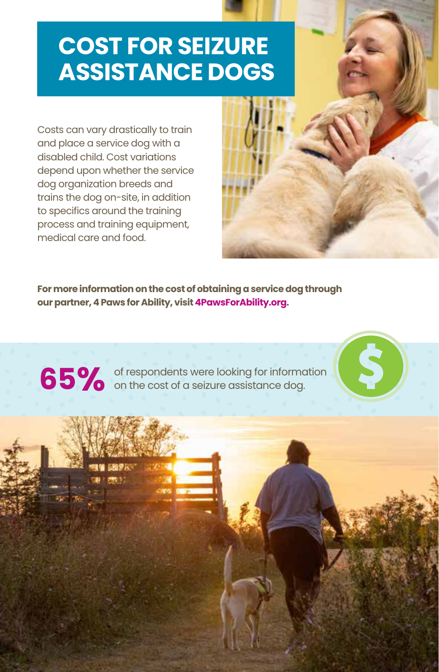### **COST FOR SEIZURE ASSISTANCE DOGS**

Costs can vary drastically to train and place a service dog with a disabled child. Cost variations depend upon whether the service dog organization breeds and trains the dog on-site, in addition to specifics around the training process and training equipment, medical care and food.

**PRESS** 

**For more information on the cost of obtaining a service dog through our partner, 4 Paws for Ability, visit4PawsForAbility.org.**

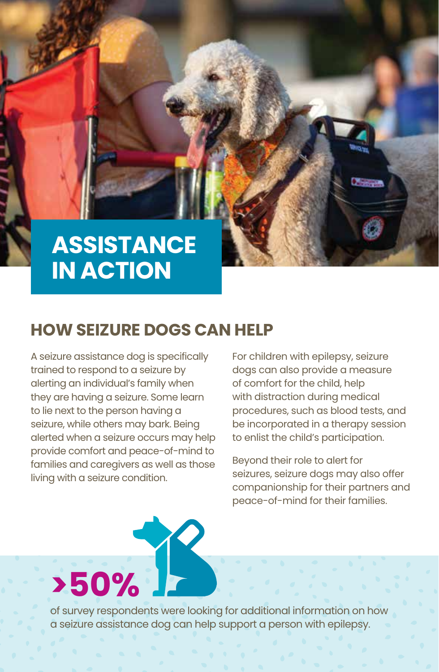#### **ASSISTANCE IN ACTION**

#### **HOW SEIZURE DOGS CAN HELP**

A seizure assistance dog is specifically trained to respond to a seizure by alerting an individual's family when they are having a seizure. Some learn to lie next to the person having a seizure, while others may bark. Being alerted when a seizure occurs may help provide comfort and peace-of-mind to families and caregivers as well as those living with a seizure condition.

For children with epilepsy, seizure dogs can also provide a measure of comfort for the child, help with distraction during medical procedures, such as blood tests, and be incorporated in a therapy session to enlist the child's participation.

Beyond their role to alert for seizures, seizure dogs may also offer companionship for their partners and peace-of-mind for their families.

# **>50%**

of survey respondents were looking for additional information on how a seizure assistance dog can help support a person with epilepsy.